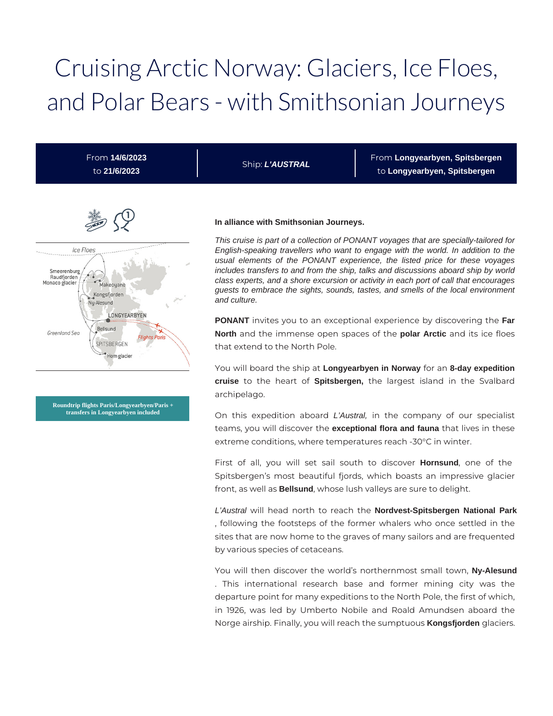# Cruising Arctic Norway: Glaciers, Ice Floes, and Polar Bears - with Smithsonian Journeys

From **14/6/2023** to **21/6/2023**

Ship: **L'AUSTRAL**

From **Longyearbyen, Spitsbergen** to **Longyearbyen, Spitsbergen**



**Roundtrip flights Paris/Longyearbyen/Paris + transfers in Longyearbyen included**

#### **In alliance with Smithsonian Journeys.**

This cruise is part of a collection of PONANT voyages that are specially-tailored for English-speaking travellers who want to engage with the world. In addition to the usual elements of the PONANT experience, the listed price for these voyages includes transfers to and from the ship, talks and discussions aboard ship by world class experts, and a shore excursion or activity in each port of call that encourages guests to embrace the sights, sounds, tastes, and smells of the local environment and culture.

**PONANT** invites you to an exceptional experience by discovering the **Far North** and the immense open spaces of the **polar Arctic** and its ice floes that extend to the North Pole.

You will board the ship at **Longyearbyen in Norway** for an **8-day expedition cruise** to the heart of **Spitsbergen,** the largest island in the Svalbard archipelago.

On this expedition aboard L'Austral, in the company of our specialist teams, you will discover the **exceptional flora and fauna** that lives in these extreme conditions, where temperatures reach -30°C in winter.

First of all, you will set sail south to discover **Hornsund**, one of the Spitsbergen's most beautiful fjords, which boasts an impressive glacier front, as well as **Bellsund**, whose lush valleys are sure to delight.

L'Austral will head north to reach the **Nordvest-Spitsbergen National Park** , following the footsteps of the former whalers who once settled in the sites that are now home to the graves of many sailors and are frequented by various species of cetaceans.

You will then discover the world's northernmost small town, **Ny-Alesund** . This international research base and former mining city was the departure point for many expeditions to the North Pole, the first of which, in 1926, was led by Umberto Nobile and Roald Amundsen aboard the Norge airship. Finally, you will reach the sumptuous **Kongsfjorden** glaciers.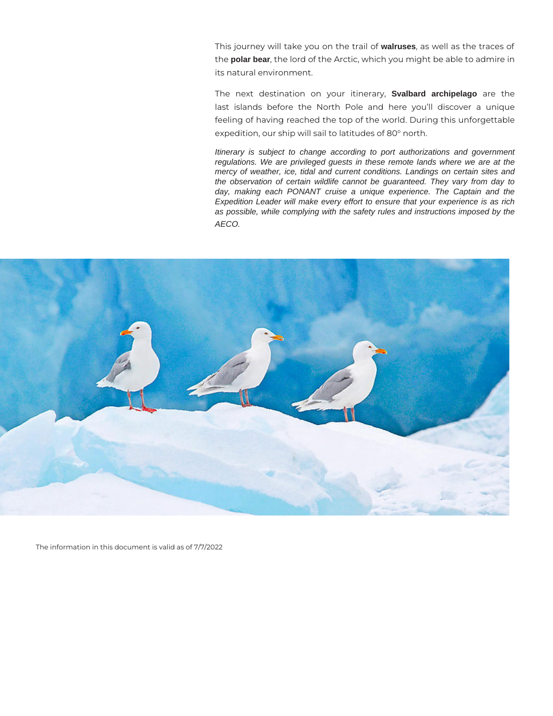This journey will take you on the trail of **walruses**, as well as the traces of the **polar bear**, the lord of the Arctic, which you might be able to admire in its natural environment.

The next destination on your itinerary, **Svalbard archipelago** are the last islands before the North Pole and here you'll discover a unique feeling of having reached the top of the world. During this unforgettable expedition, our ship will sail to latitudes of 80° north.

Itinerary is subject to change according to port authorizations and government regulations. We are privileged guests in these remote lands where we are at the mercy of weather, ice, tidal and current conditions. Landings on certain sites and the observation of certain wildlife cannot be guaranteed. They vary from day to day, making each PONANT cruise a unique experience. The Captain and the Expedition Leader will make every effort to ensure that your experience is as rich as possible, while complying with the safety rules and instructions imposed by the AECO.



The information in this document is valid as of 7/7/2022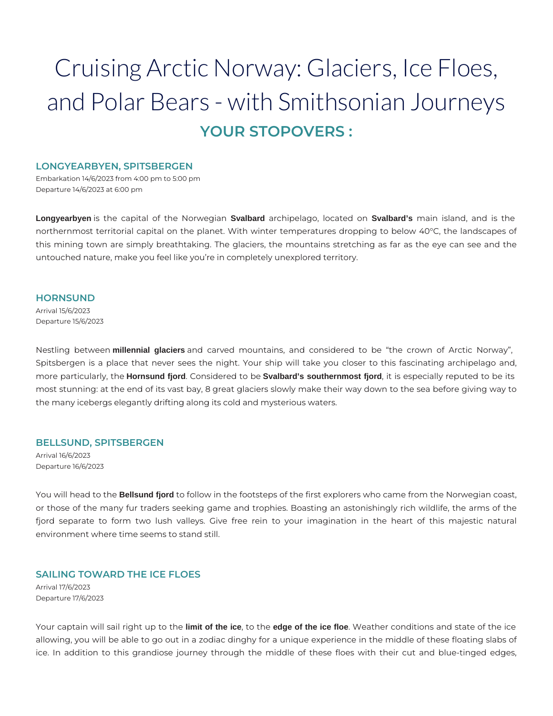# Cruising Arctic Norway: Glaciers, Ice Floes, and Polar Bears - with Smithsonian Journeys **YOUR STOPOVERS :**

#### **LONGYEARBYEN, SPITSBERGEN**

Embarkation 14/6/2023 from 4:00 pm to 5:00 pm Departure 14/6/2023 at 6:00 pm

**Longyearbyen** is the capital of the Norwegian **Svalbard** archipelago, located on **Svalbard's** main island, and is the northernmost territorial capital on the planet. With winter temperatures dropping to below 40°C, the landscapes of this mining town are simply breathtaking. The glaciers, the mountains stretching as far as the eye can see and the untouched nature, make you feel like you're in completely unexplored territory.

#### **HORNSUND**

Arrival 15/6/2023 Departure 15/6/2023

Nestling between **millennial glaciers** and carved mountains, and considered to be "the crown of Arctic Norway", Spitsbergen is a place that never sees the night. Your ship will take you closer to this fascinating archipelago and, more particularly, the **Hornsund fjord**. Considered to be **Svalbard's southernmost fjord**, it is especially reputed to be its most stunning: at the end of its vast bay, 8 great glaciers slowly make their way down to the sea before giving way to the many icebergs elegantly drifting along its cold and mysterious waters.

# **BELLSUND, SPITSBERGEN**

Arrival 16/6/2023 Departure 16/6/2023

You will head to the **Bellsund fjord** to follow in the footsteps of the first explorers who came from the Norwegian coast, or those of the many fur traders seeking game and trophies. Boasting an astonishingly rich wildlife, the arms of the fjord separate to form two lush valleys. Give free rein to your imagination in the heart of this majestic natural environment where time seems to stand still.

# **SAILING TOWARD THE ICE FLOES**

Arrival 17/6/2023 Departure 17/6/2023

Your captain will sail right up to the **limit of the ice**, to the **edge of the ice floe**. Weather conditions and state of the ice allowing, you will be able to go out in a zodiac dinghy for a unique experience in the middle of these floating slabs of ice. In addition to this grandiose journey through the middle of these floes with their cut and blue-tinged edges,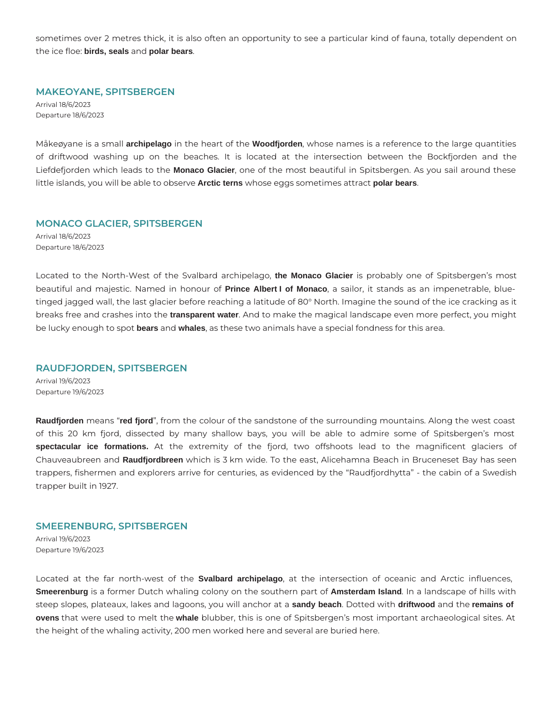sometimes over 2 metres thick, it is also often an opportunity to see a particular kind of fauna, totally dependent on the ice floe: **birds, seals** and **polar bears**.

# **MAKEOYANE, SPITSBERGEN**

Arrival 18/6/2023 Departure 18/6/2023

Måkeøyane is a small **archipelago** in the heart of the **Woodfjorden**, whose names is a reference to the large quantities of driftwood washing up on the beaches. It is located at the intersection between the Bockfjorden and the Liefdefjorden which leads to the **Monaco Glacier**, one of the most beautiful in Spitsbergen. As you sail around these little islands, you will be able to observe **Arctic terns** whose eggs sometimes attract **polar bears**.

#### **MONACO GLACIER, SPITSBERGEN**

Arrival 18/6/2023 Departure 18/6/2023

Located to the North-West of the Svalbard archipelago, **the Monaco Glacier** is probably one of Spitsbergen's most beautiful and majestic. Named in honour of **Prince Albert I of Monaco**, a sailor, it stands as an impenetrable, bluetinged jagged wall, the last glacier before reaching a latitude of 80° North. Imagine the sound of the ice cracking as it breaks free and crashes into the **transparent water**. And to make the magical landscape even more perfect, you might be lucky enough to spot **bears** and **whales**, as these two animals have a special fondness for this area.

# **RAUDFJORDEN, SPITSBERGEN**

Arrival 19/6/2023 Departure 19/6/2023

**Raudfjorden** means "**red fjord**", from the colour of the sandstone of the surrounding mountains. Along the west coast of this 20 km fjord, dissected by many shallow bays, you will be able to admire some of Spitsbergen's most **spectacular ice formations.** At the extremity of the fjord, two offshoots lead to the magnificent glaciers of Chauveaubreen and **Raudfjordbreen** which is 3 km wide. To the east, Alicehamna Beach in Bruceneset Bay has seen trappers, fishermen and explorers arrive for centuries, as evidenced by the "Raudfjordhytta" - the cabin of a Swedish trapper built in 1927.

# **SMEERENBURG, SPITSBERGEN**

Arrival 19/6/2023 Departure 19/6/2023

Located at the far north-west of the **Svalbard archipelago**, at the intersection of oceanic and Arctic influences, **Smeerenburg** is a former Dutch whaling colony on the southern part of **Amsterdam Island**. In a landscape of hills with steep slopes, plateaux, lakes and lagoons, you will anchor at a **sandy beach**. Dotted with **driftwood** and the **remains of ovens** that were used to melt the **whale** blubber, this is one of Spitsbergen's most important archaeological sites. At the height of the whaling activity, 200 men worked here and several are buried here.